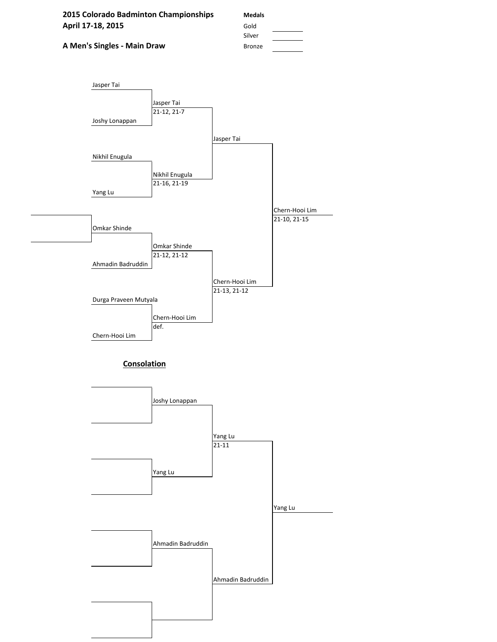

| A Men's Singles - Main Draw | Bronze |
|-----------------------------|--------|
|-----------------------------|--------|

| <b>Medals</b> |  |
|---------------|--|
| Gold          |  |
| Silver        |  |
| <b>Bronze</b> |  |



Ahmadin Badruddin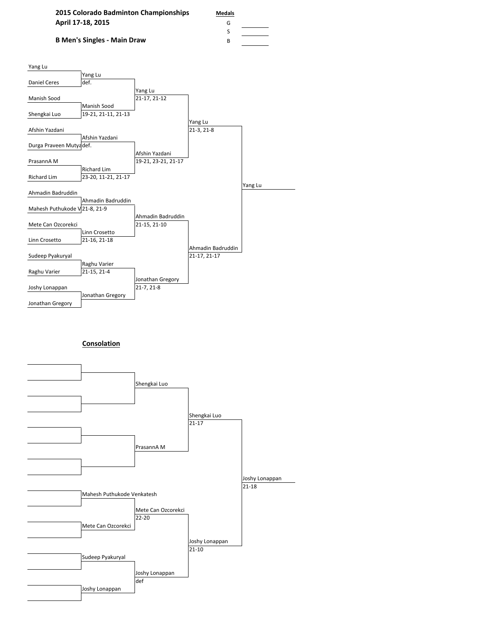**2015 Colorado Badminton Championships Medals April 17-18, 2015** G

S

**B Men's Singles - Main Draw** B



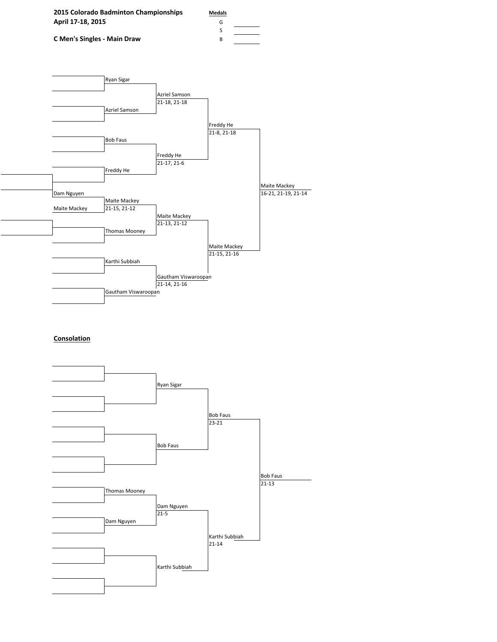

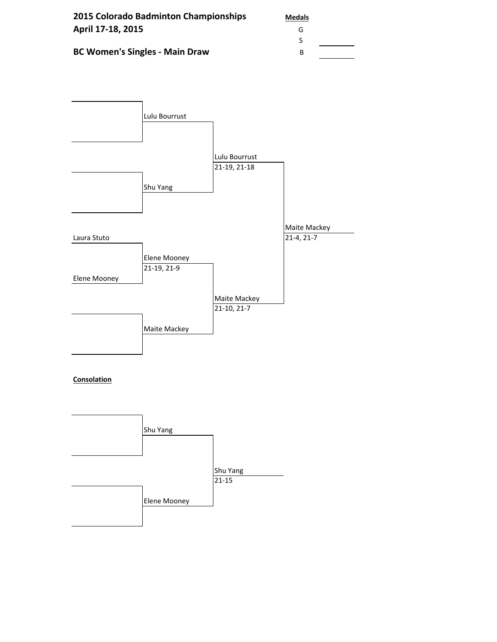



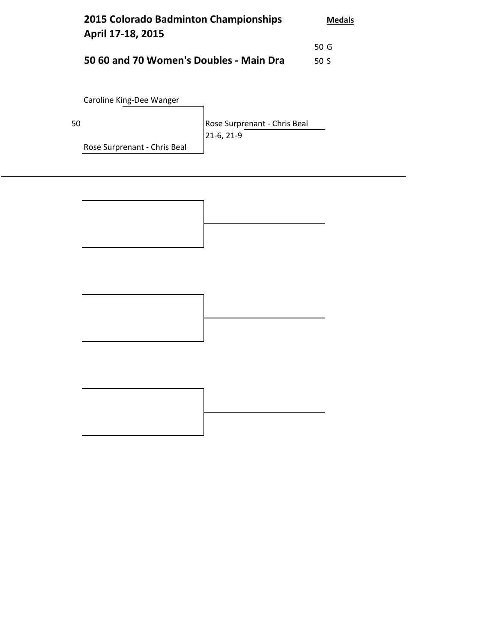

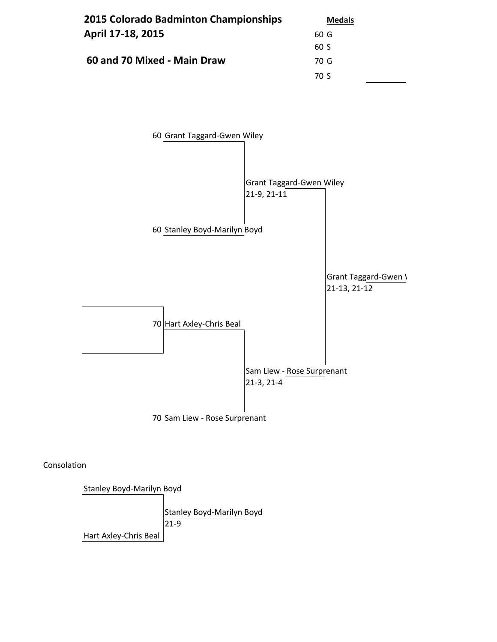| 2015 Colorado Badminton Championships | <b>Medals</b> |
|---------------------------------------|---------------|
| April 17-18, 2015                     | 60 G          |
|                                       | 60 S          |
| 60 and 70 Mixed - Main Draw           | 70 G          |
|                                       | 70 S          |



Stanley Boyd-Marilyn Boyd Stanley Boyd-Marilyn Boyd 21-9 Hart Axley-Chris Beal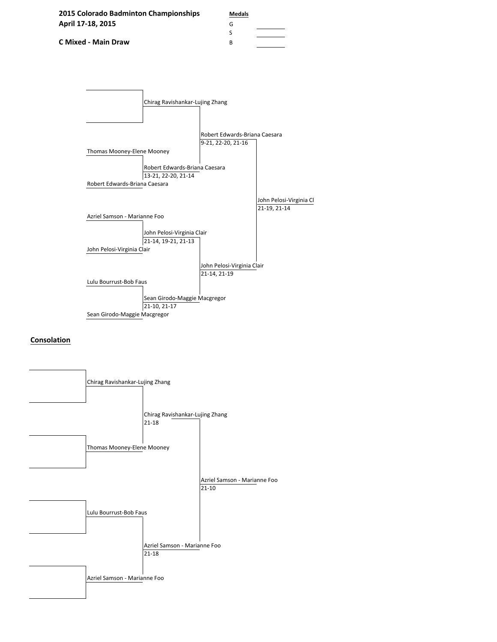

Sean Girodo-Maggie Macgregor 21-10, 21-17 Sean Girodo-Maggie Macgregor

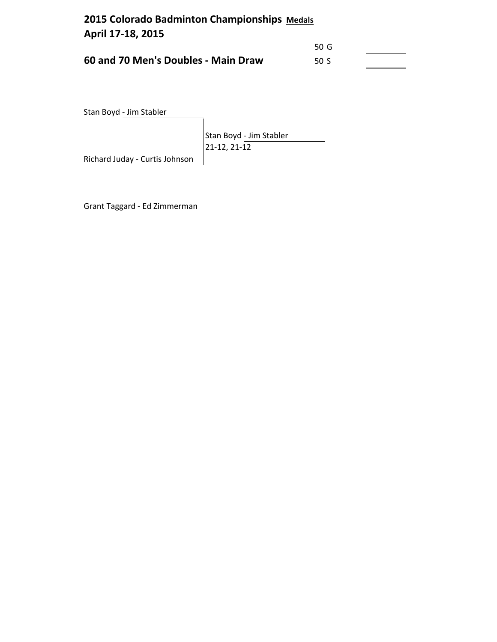| 2015 Colorado Badminton Championships Medals |  |
|----------------------------------------------|--|
|                                              |  |
| -50 G                                        |  |
| .50 S                                        |  |
|                                              |  |

Stan Boyd - Jim Stabler

Stan Boyd - Jim Stabler 21-12, 21-12

Richard Juday - Curtis Johnson

Grant Taggard - Ed Zimmerman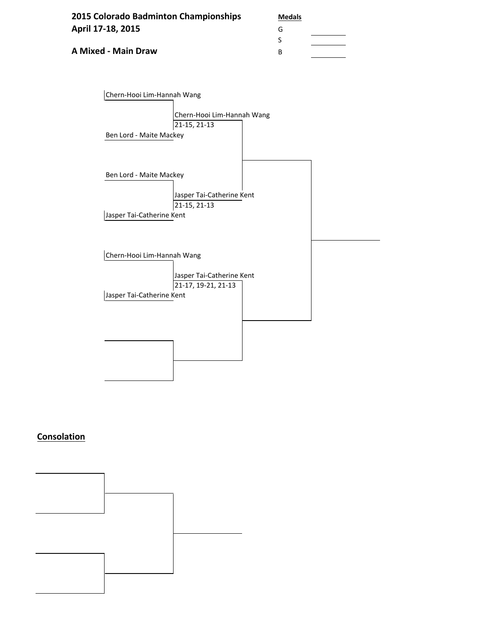| 2015 Colorado Badminton Championships | <b>Medals</b> |
|---------------------------------------|---------------|
| April 17-18, 2015                     | G             |
|                                       | S             |
| <b>A Mixed - Main Draw</b>            | B             |

| Chern-Hooi Lim-Hannah Wang |  |
|----------------------------|--|
| Chern-Hooi Lim-Hannah Wang |  |
| 21-15, 21-13               |  |
| Ben Lord - Maite Mackey    |  |
|                            |  |
|                            |  |
|                            |  |
| Ben Lord - Maite Mackey    |  |
|                            |  |
| Jasper Tai-Catherine Kent  |  |
| 21-15, 21-13               |  |
| Jasper Tai-Catherine Kent  |  |
|                            |  |
|                            |  |
| Chern-Hooi Lim-Hannah Wang |  |
|                            |  |
| Jasper Tai-Catherine Kent  |  |
| 21-17, 19-21, 21-13        |  |
| Jasper Tai-Catherine Kent  |  |
|                            |  |
|                            |  |
|                            |  |
|                            |  |
|                            |  |
|                            |  |
|                            |  |
|                            |  |

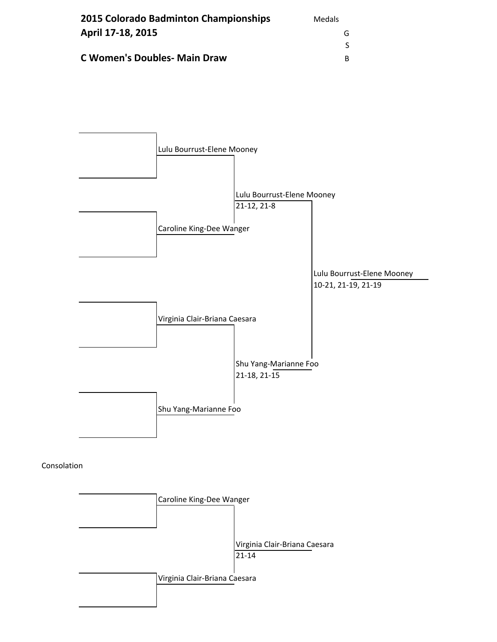| <b>2015 Colorado Badminton Championships</b> | Medals |
|----------------------------------------------|--------|
| April 17-18, 2015                            | G      |
|                                              |        |
| <b>C Women's Doubles- Main Draw</b>          | B      |

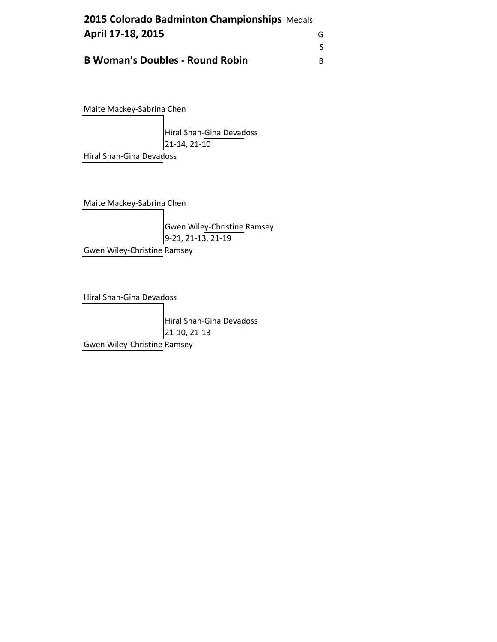| 2015 Colorado Badminton Championships Medals |  |
|----------------------------------------------|--|
| April 17-18, 2015                            |  |
|                                              |  |
| <b>B Woman's Doubles - Round Robin</b>       |  |

Maite Mackey-Sabrina Chen

Hiral Shah-Gina Devadoss 21-14, 21-10

Hiral Shah-Gina Devadoss

Maite Mackey-Sabrina Chen

Gwen Wiley-Christine Ramsey 9-21, 21-13, 21-19 Gwen Wiley-Christine Ramsey

Hiral Shah-Gina Devadoss

Hiral Shah-Gina Devadoss 21-10, 21-13

Gwen Wiley-Christine Ramsey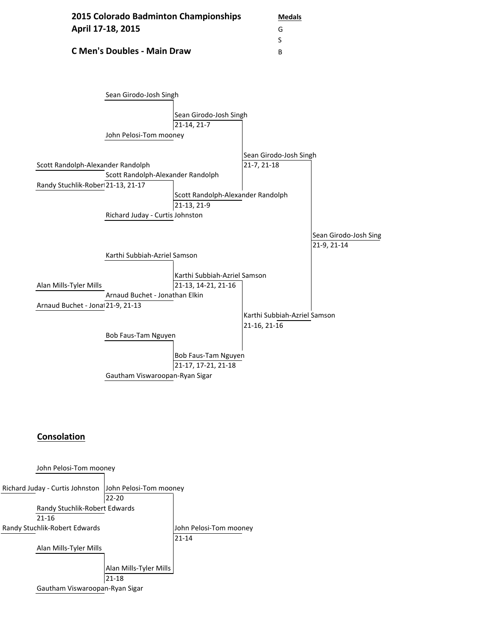

John Pelosi-Tom mooney Richard Juday - Curtis Johnston John Pelosi-Tom mooney 22-20 Randy Stuchlik-Robert Edwards 21-16 Randy Stuchlik-Robert Edwards **John Pelosi-Tom mooney** 21-14 Alan Mills-Tyler Mills Alan Mills-Tyler Mills 21-18 Gautham Viswaroopan-Ryan Sigar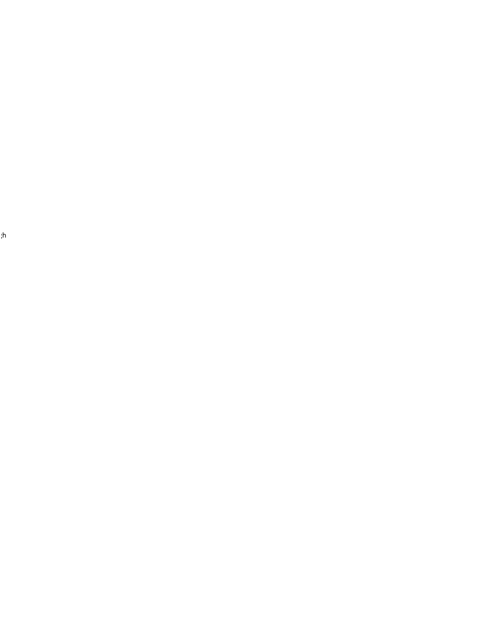;h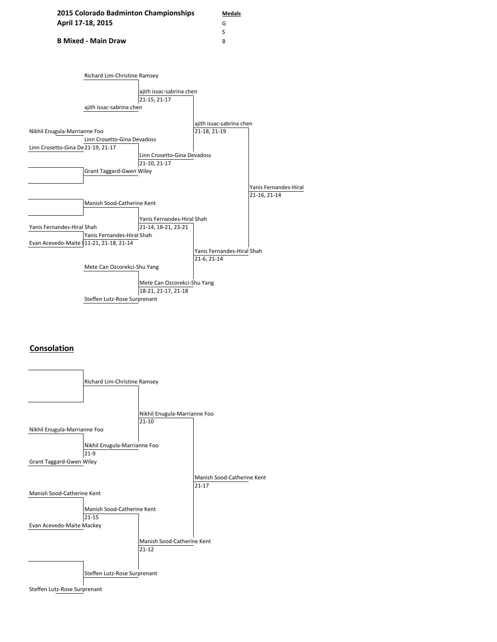

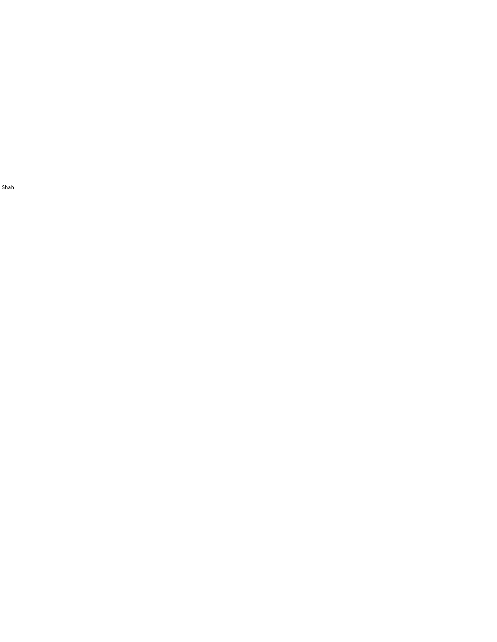Shah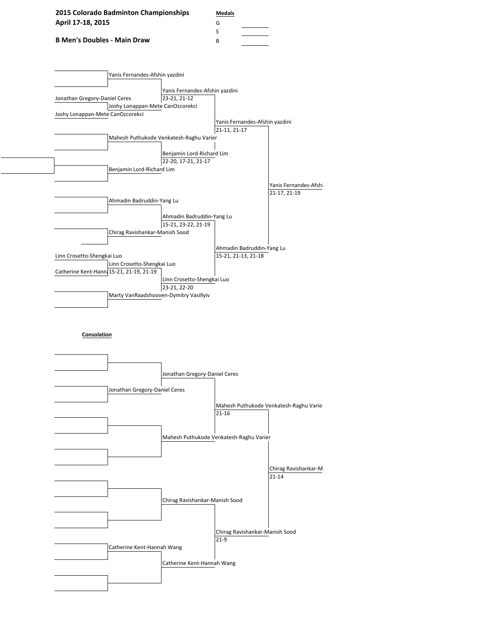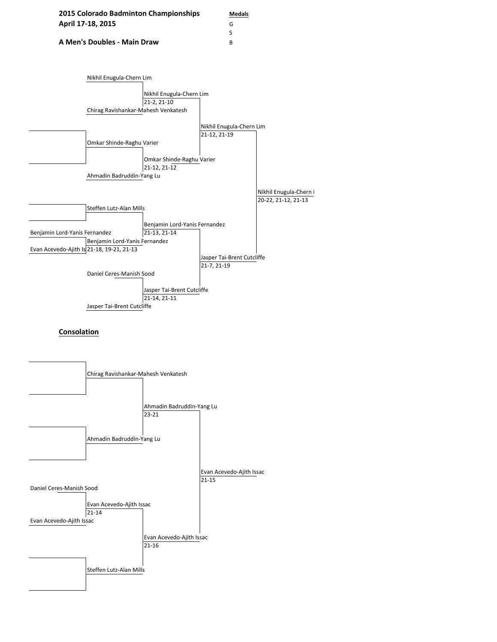



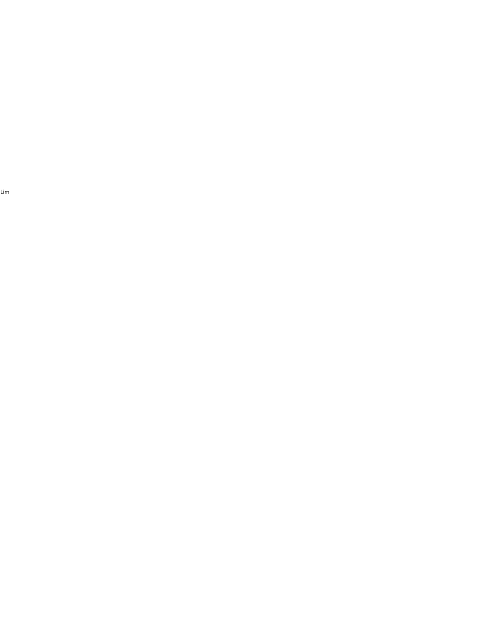Lim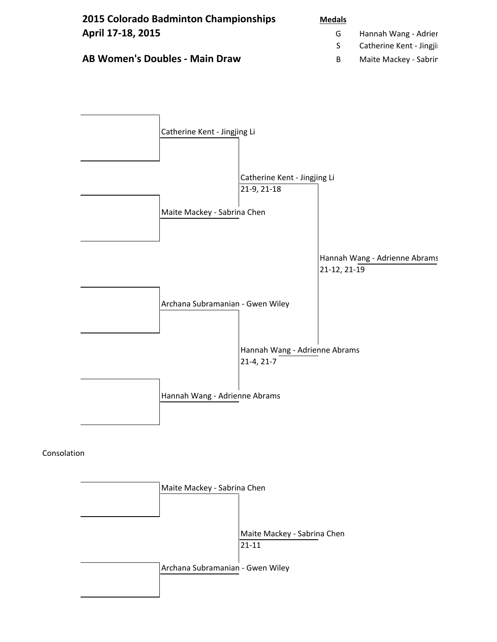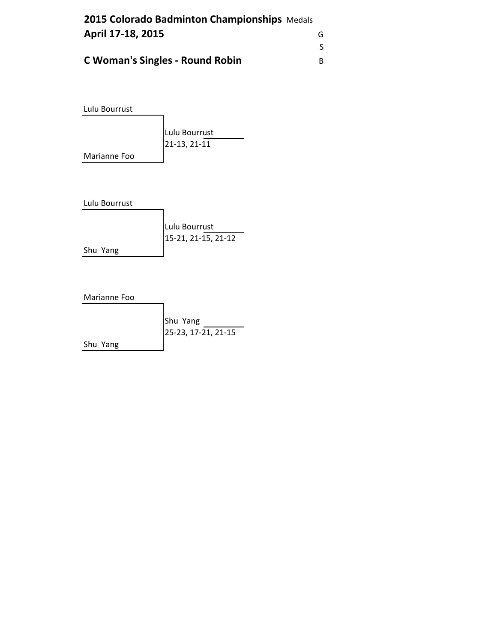| 2015 Colorado Badminton Championships Medals |                   |              |  |
|----------------------------------------------|-------------------|--------------|--|
|                                              | April 17-18, 2015 | $\mathsf{G}$ |  |
|                                              |                   |              |  |
|                                              |                   |              |  |

| <b>C Woman's Singles - Round Robin</b> |  |
|----------------------------------------|--|
|----------------------------------------|--|

| Lulu Bourrust |               |
|---------------|---------------|
|               |               |
|               | Lulu Bourrust |
|               | 21-13, 21-11  |
| Marianne Foo  |               |
|               |               |

| Lulu Bourrust |                       |
|---------------|-----------------------|
|               |                       |
|               | Lulu Bourrust         |
|               | $15-21, 21-15, 21-12$ |
| Shu Yang      |                       |

| Marianne Foo |                                 |
|--------------|---------------------------------|
|              | Shu Yang<br>25-23, 17-21, 21-15 |
| Shu Yang     |                                 |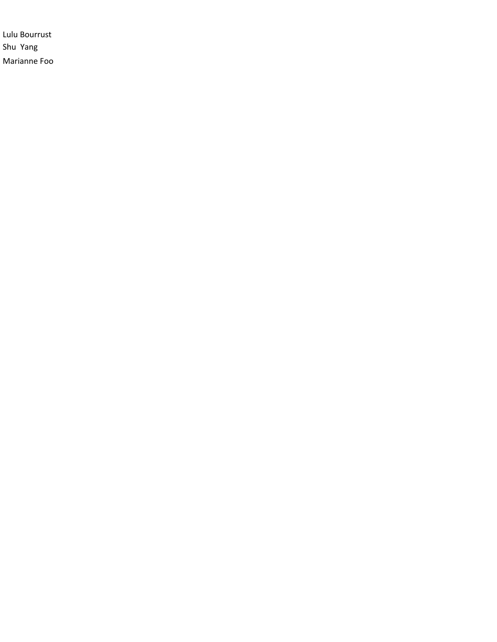Lulu Bourrust Shu Yang Marianne Foo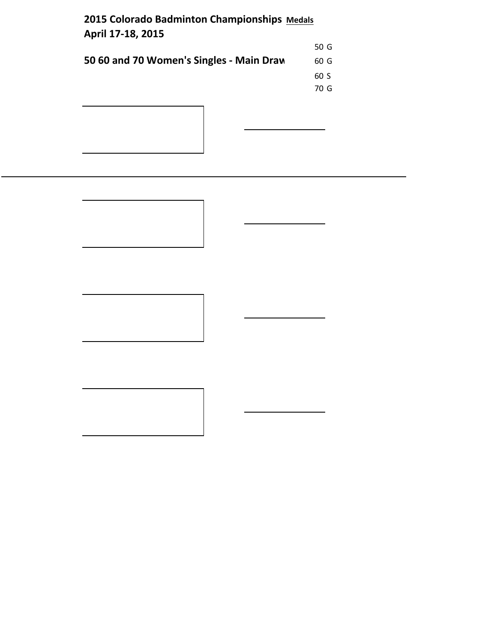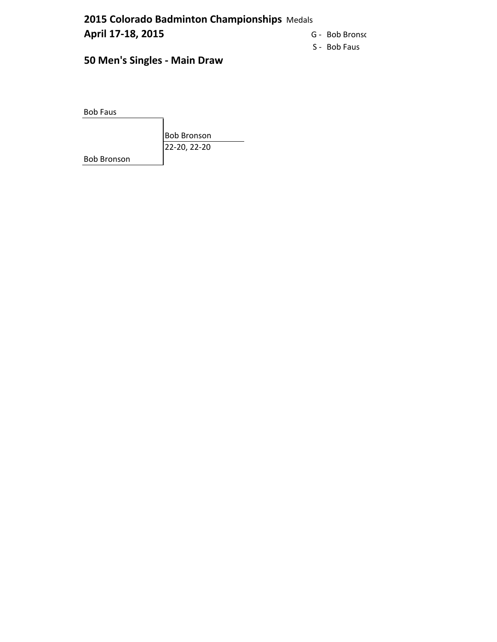## **2015 Colorado Badminton Championships** Medals **April 17-18, 2015** G - Bob Bronson

S - Bob Faus

# **50 Men's Singles - Main Draw**

| <b>Bob Faus</b>    |                    |
|--------------------|--------------------|
|                    |                    |
|                    | <b>Bob Bronson</b> |
|                    | 22-20, 22-20       |
| <b>Bob Bronson</b> |                    |